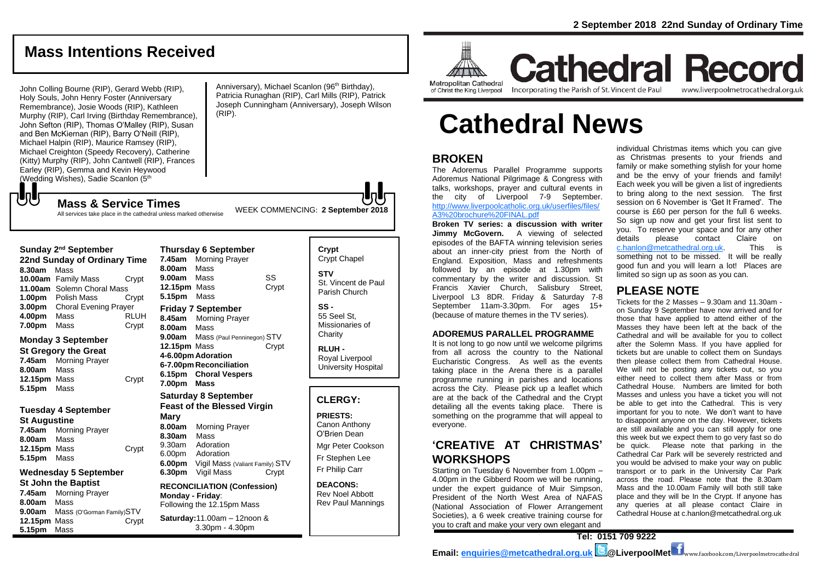## **Mass Intentions Received**

John Colling Bourne (RIP), Gerard Webb (RIP), Holy Souls, John Henry Foster (Anniversary Remembrance), Josie Woods (RIP), Kathleen Murphy (RIP), Carl Irving (Birthday Remembrance), John Sefton (RIP), Thomas O'Malley (RIP), Susan and Ben McKiernan (RIP), Barry O'Neill (RIP), Michael Halpin (RIP), Maurice Ramsey (RIP). Michael Creighton (Speedy Recovery), Catherine (Kitty) Murphy (RIP), John Cantwell (RIP), Frances Earley (RIP), Gemma and Kevin Heywood (Wedding Wishes), Sadie Scanlon (5<sup>th</sup>

Anniversary), Michael Scanlon (96<sup>th</sup> Birthday), Patricia Runaghan (RIP), Carl Mills (RIP), Patrick Joseph Cunningham (Anniversary), Joseph Wilson (RIP).

WEEK COMMENCING: **2 September <sup>2018</sup> Mass & Service Times**

All services take place in the cathedral unless marked otherwise

#### **Sunday 2<sup>nd</sup> September**

もし

**22nd Sunday of Ordinary Time 8.30am** Mass **10.00am** Family Mass Crypt **11.00am** Solemn Choral Mass **1.00pm** Polish Mass Crypt **3.00pm** Choral Evening Prayer **4.00pm** Mass RLUH **7.00pm** Mass **Crypt** 

#### **Monday 3 September**

**St Gregory the Great 7.45am** Morning Prayer **8.00am** Mass **12.15pm** Mass Crypt **5.15pm** Mass

#### **Tuesday 4 September**

**St Augustine 7.45am** Morning Prayer **8.00am** Mass **12.15pm** Mass Crypt **5.15pm** Mass

#### **Wednesday 5 September St John the Baptist 7.45am** Morning Prayer

**8.00am** Mass **9.00am** Mass (O'Gorman Family)STV **12.15pm** Mass Crypt **5.15pm** Mass

**Thursday 6 September 7.45am** Morning Prayer **8.00am** Mass **9.00am** Mass SS **12.15pm** Mass Crypt **5.15pm** Mass **Friday 7 September 8.45am** Morning Prayer **8.00am** Mass **9.00am** Mass (Paul Penninegon) STV **12.15pm** Mass Crypt **4-6.00pm Adoration 6-7.00pm Reconciliation 6.15pm Choral Vespers 7.00pm Mass Saturday 8 September Feast of the Blessed Virgin Mary 8.00am** Morning Prayer **8.30am** Mass 9.30am Adoration 6.00pm Adoration **6.00pm** Vigil Mass (Valiant Family) STV **6.30pm** Vigil Mass Crypt **RECONCILIATION (Confession) Monday - Friday**: Following the 12.15pm Mass

**Saturday:**11.00am – 12noon & 3.30pm - 4.30pm

**Crypt**  Crypt Chapel **STV** St. Vincent de Paul Parish Church

**SS -** 55 Seel St, Missionaries of **Charity** 

**RLUH -** Royal Liverpool University Hospital

#### **CLERGY:**

**PRIESTS:** Canon Anthony O'Brien *Dean*

Mgr Peter Cookson Fr Stephen Lee Fr Philip Carr

**DEACONS:** Rev Noel Abbott Rev Paul Mannings



#### **Cathedral Record** Incorporating the Parish of St. Vincent de Paul www.liverpoolmetrocathedral.org.uk

of Christ the King Liverpool

# **Cathedral News**

#### **BROKEN**

The Adoremus Parallel Programme supports Adoremus National Pilgrimage & Congress with talks, workshops, prayer and cultural events in the city of Liverpool 7-9 September. [http://www.liverpoolcatholic.org.uk/userfiles/files/](http://www.liverpoolcatholic.org.uk/userfiles/files/A3%20brochure%20FINAL.pdf) [A3%20brochure%20FINAL.pdf](http://www.liverpoolcatholic.org.uk/userfiles/files/A3%20brochure%20FINAL.pdf)

**Broken TV series: a discussion with writer Jimmy McGovern.** A viewing of selected episodes of the BAFTA winning television series about an inner-city priest from the North of England. Exposition, Mass and refreshments followed by an episode at 1.30pm with commentary by the writer and discussion. St Francis Xavier Church, Salisbury Street, Liverpool L3 8DR. *Friday & Saturday 7-8 September 11am-3.30pm.* For ages 15+ (because of mature themes in the TV series).

#### **ADOREMUS PARALLEL PROGRAMME**

It is not long to go now until we welcome pilgrims from all across the country to the National Eucharistic Congress. As well as the events taking place in the Arena there is a parallel programme running in parishes and locations across the City. Please pick up a leaflet which are at the back of the Cathedral and the Crypt detailing all the events taking place. There is something on the programme that will appeal to everyone.

#### **'CREATIVE AT CHRISTMAS' WORKSHOPS**

Starting on Tuesday 6 November from 1.00pm – 4.00pm in the Gibberd Room we will be running, under the expert guidance of Muir Simpson, President of the North West Area of NAFAS (National Association of Flower Arrangement Societies), a 6 week creative training course for you to craft and make your very own elegant and

individual Christmas items which you can give as Christmas presents to your friends and family or make something stylish for your home and be the envy of your friends and family! Each week you will be given a list of ingredients to bring along to the next session. The first session on 6 November is 'Get It Framed'. The course is £60 per person for the full 6 weeks. So sign up now and get your first list sent to you. To reserve your space and for any other details please contact Claire on [c.hanlon@metcathedral.org.uk.](mailto:c.hanlon@metcathedral.org.uk) This is something not to be missed. It will be really good fun and you will learn a lot! Places are limited so sign up as soon as you can.

#### **PLEASE NOTE**

Tickets for the 2 Masses – 9.30am and 11.30am on Sunday 9 September have now arrived and for those that have applied to attend either of the Masses they have been left at the back of the Cathedral and will be available for you to collect after the Solemn Mass. If you have applied for tickets but are unable to collect them on Sundays then please collect them from Cathedral House. We will not be posting any tickets out, so you either need to collect them after Mass or from Cathedral House. Numbers are limited for both Masses and unless you have a ticket you will not be able to get into the Cathedral. This is very important for you to note. We don't want to have to disappoint anyone on the day. However, tickets are still available and you can still apply for one this week but we expect them to go very fast so do be quick. Please note that parking in the Cathedral Car Park will be severely restricted and you would be advised to make your way on public transport or to park in the University Car Park across the road. Please note that the 8.30am Mass and the 10.00am Family will both still take place and they will be In the Crypt. If anyone has any queries at all please contact Claire in Cathedral House at c.hanlon@metcathedral.org.uk

**Email: [enquiries@metcathedral.org.uk](mailto:enquiries@metcathedral.org.uk) @LiverpoolMet** www.facebook.com/Liverpoolmetrocathedral

**Tel: 0151 709 9222**